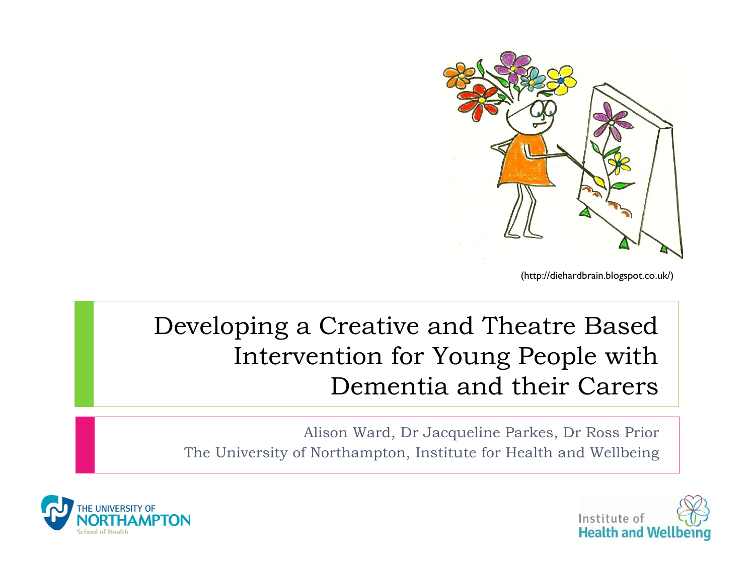

(http://diehardbrain.blogspot.co.uk/)

#### Developing a Creative and Theatre Based Intervention for Young People with Dementia and their Carers

Alison Ward, Dr Jacqueline Parkes, Dr Ross Prior The University of Northampton, Institute for Health and Wellbeing



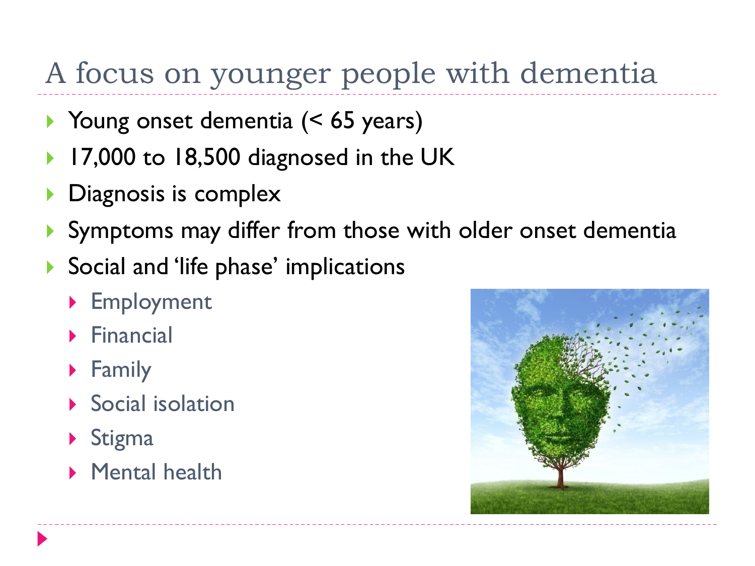## A focus on younger people with dementia

- ▶ Young onset dementia (< 65 years)
- 17,000 to 18,500 diagnosed in the UK
- **Diagnosis is complex**
- Symptoms may differ from those with older onset dementia
- ▶ Social and 'life phase' implications
	- ▶ Employment
	- $\blacktriangleright$  Financial
	- **Family**
	- **Social isolation**
	- $\triangleright$  Stigma
	- **Mental health**

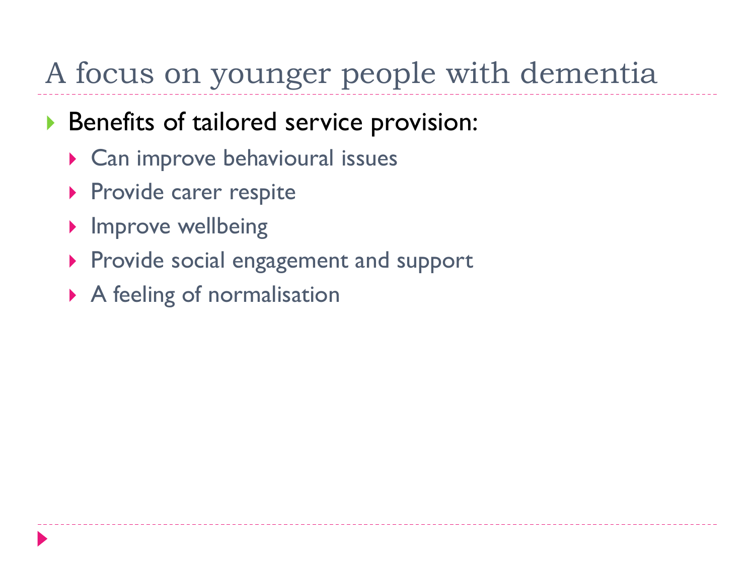### A focus on younger people with dementia

#### ▶ Benefits of tailored service provision:

- ▶ Can improve behavioural issues
- **Provide carer respite**
- **Improve wellbeing**
- **Provide social engagement and support**
- A feeling of normalisation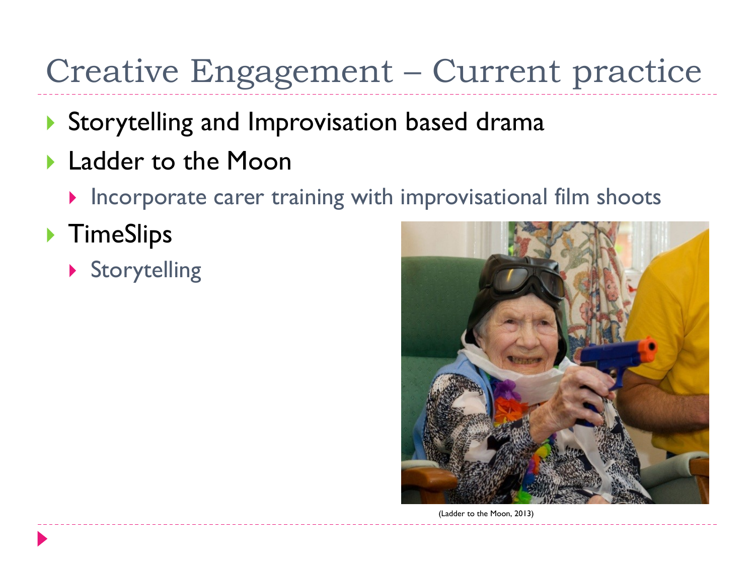# Creative Engagement – Current practice

- Storytelling and Improvisation based drama
- **Ladder to the Moon** 
	- $\blacktriangleright$  Incorporate carer training with improvisational film shoots
- ▶ TimeSlips
	- Storytelling



(Ladder to the Moon, 2013)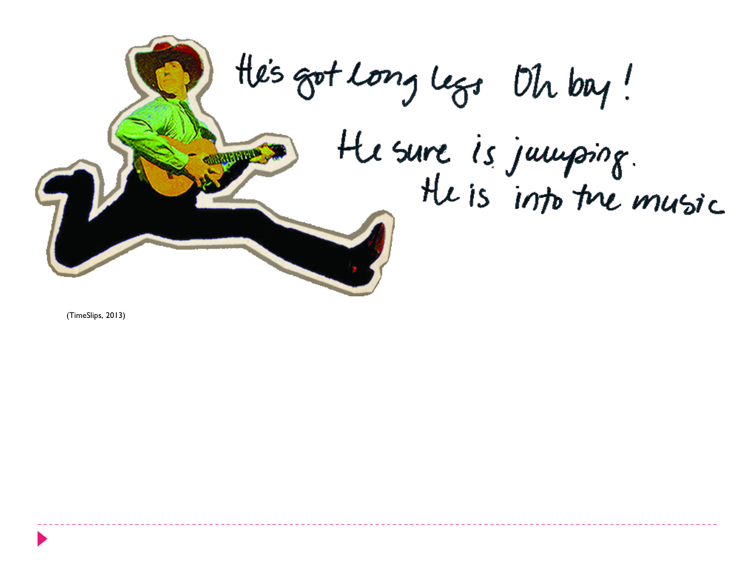

(TimeSlips, 2013)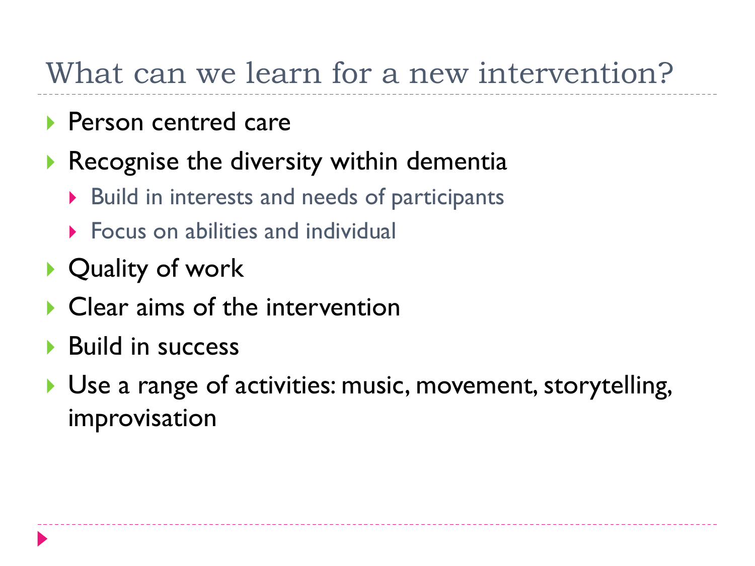#### What can we learn for a new intervention?

- **Person centred care**
- Recognise the diversity within dementia
	- ▶ Build in interests and needs of participants
	- **Focus on abilities and individual**
- ▶ Quality of work
- Clear aims of the intervention
- **Build in success**
- ▶ Use a range of activities: music, movement, storytelling, improvisation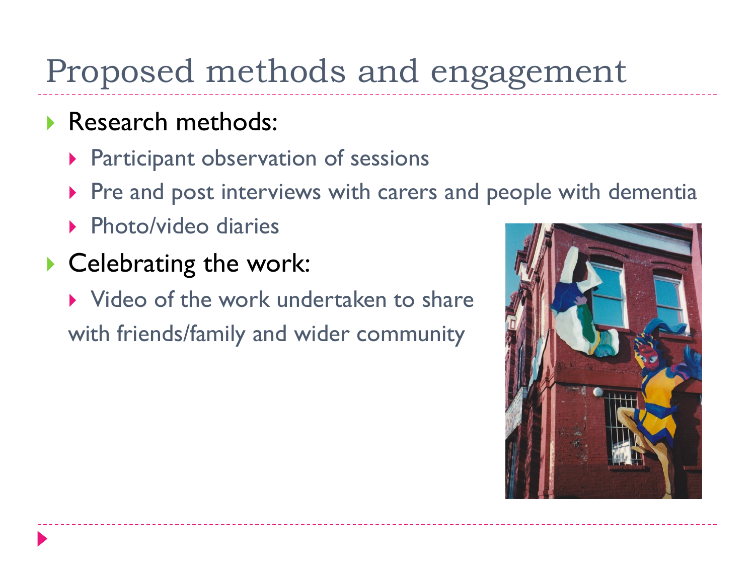## Proposed methods and engagement

- Research methods:
	- ▶ Participant observation of sessions
	- Pre and post interviews with carers and people with dementia
	- ▶ Photo/video diaries
- Celebrating the work:
	- lacktriangleright Video of the work undertaken to share with friends/family and wider community

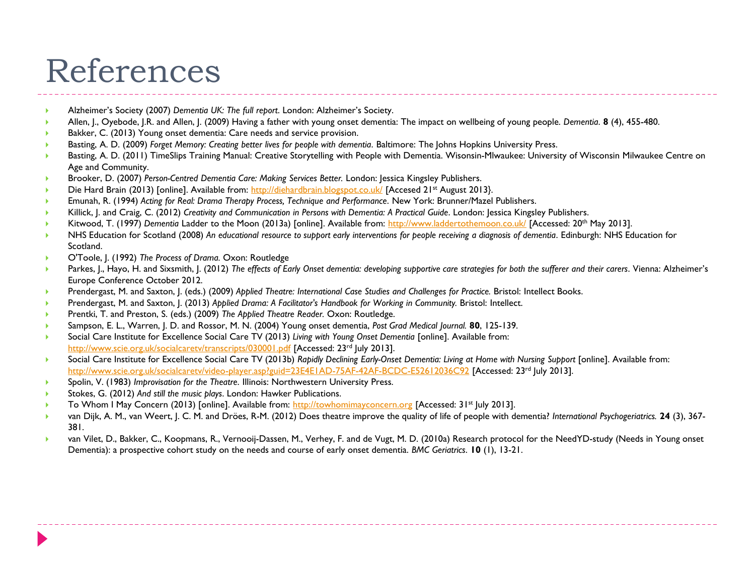### References

- Alzheimer's Society (2007) *Dementia UK: The full report*. London: Alzheimer's Society.
- Allen, J., Oyebode, J.R. and Allen, J. (2009) Having a father with young onset dementia: The impact on wellbeing of young people. *Dementia*. **8** (4), 455-480.
- Bakker, C. (2013) Young onset dementia: Care needs and service provision.
- Basting, A. D. (2009) *Forget Memory: Creating better lives for people with dementia*. Baltimore: The Johns Hopkins University Press.
- Basting, A. D. (2011) TimeSlips Training Manual: Creative Storytelling with People with Dementia. Wisonsin-Mlwaukee: University of Wisconsin Milwaukee Centre on Age and Community.
- Brooker, D. (2007) *Person-Centred Dementia Care: Making Services Better.* London: Jessica Kingsley Publishers.
- Die Hard Brain (2013) [online]. Available from:<http://diehardbrain.blogspot.co.uk/> [Accesed 21<sup>st</sup> August 2013].
- Emunah, R. (1994) *Acting for Real: Drama Therapy Process, Technique and Performance*. New York: Brunner/Mazel Publishers.
- Killick, J. and Craig, C. (2012) *Creativity and Communication in Persons with Dementia: A Practical Guide*. London: Jessica Kingsley Publishers.
- Kitwood, T. (1997) *Dementia* Ladder to the Moon (2013a) [online]. Available from: <http://www.laddertothemoon.co.uk/> [Accessed: 20th May 2013].
- NHS Education for Scotland (2008) *An educational resource to support early interventions for people receiving a diagnosis of dementia*. Edinburgh: NHS Education for Scotland.
- O'Toole, J. (1992) *The Process of Drama.* Oxon: Routledge
- Parkes, I., Hayo, H. and Sixsmith, J. (2012) The effects of Early Onset dementia: developing supportive care strategies for both the sufferer and their carers. Vienna: Alzheimer's Europe Conference October 2012.
- Prendergast, M. and Saxton, J. (eds.) (2009) *Applied Theatre: International Case Studies and Challenges for Practice.* Bristol: Intellect Books.
- Prendergast, M. and Saxton, J. (2013) *Applied Drama: A Facilitator's Handbook for Working in Community. Bristol: Intellect.*
- Prentki, T. and Preston, S. (eds.) (2009) *The Applied Theatre Reader.* Oxon: Routledge.
- Sampson, E. L., Warren, J. D. and Rossor, M. N. (2004) Young onset dementia, *Post Grad Medical Journal.* **80**, 125-139.
- Social Care Institute for Excellence Social Care TV (2013) *Living with Young Onset Dementia* [online]. Available from: <http://www.scie.org.uk/socialcaretv/transcripts/030001.pdf> [Accessed: 23<sup>rd</sup> July 2013].
- Social Care Institute for Excellence Social Care TV (2013b) *Rapidly Declining Early-Onset Dementia: Living at Home with Nursing Support* [online]. Available from: <http://www.scie.org.uk/socialcaretv/video-player.asp?guid=23E4E1AD-75AF-42AF-BCDC-E52612036C92> [Accessed: 23rd July 2013].
- Spolin, V. (1983) *Improvisation for the Theatre*. Illinois: Northwestern University Press.
- Stokes, G. (2012) *And still the music plays*. London: Hawker Publications.
- To Whom I May Concern (2013) [online]. Available from: [http://towhomimayconcern.org](http://towhomimayconcern.org/) [Accessed: 31<sup>st</sup> July 2013].
- van Dijk, A. M., van Weert, J. C. M. and Dröes, R-M. (2012) Does theatre improve the quality of life of people with dementia? *International Psychogeriatrics.* **24** (3), 367- 381.
- van Vilet, D., Bakker, C., Koopmans, R., Vernooij-Dassen, M., Verhey, F. and de Vugt, M. D. (2010a) Research protocol for the NeedYD-study (Needs in Young onset Dementia): a prospective cohort study on the needs and course of early onset dementia. *BMC Geriatrics*. **10** (1), 13-21.